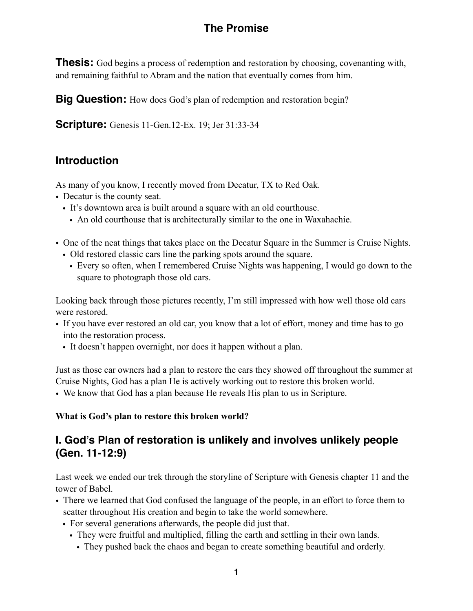# **The Promise**

**Thesis:** God begins a process of redemption and restoration by choosing, covenanting with, and remaining faithful to Abram and the nation that eventually comes from him.

**Big Question:** How does God's plan of redemption and restoration begin?

**Scripture:** Genesis 11-Gen.12-Ex. 19; Jer 31:33-34

### **Introduction**

As many of you know, I recently moved from Decatur, TX to Red Oak.

- Decatur is the county seat.
	- It's downtown area is built around a square with an old courthouse.
		- An old courthouse that is architecturally similar to the one in Waxahachie.
- One of the neat things that takes place on the Decatur Square in the Summer is Cruise Nights.
	- Old restored classic cars line the parking spots around the square.
	- Every so often, when I remembered Cruise Nights was happening, I would go down to the square to photograph those old cars.

Looking back through those pictures recently, I'm still impressed with how well those old cars were restored.

- If you have ever restored an old car, you know that a lot of effort, money and time has to go into the restoration process.
	- It doesn't happen overnight, nor does it happen without a plan.

Just as those car owners had a plan to restore the cars they showed off throughout the summer at Cruise Nights, God has a plan He is actively working out to restore this broken world.

• We know that God has a plan because He reveals His plan to us in Scripture.

### **What is God's plan to restore this broken world?**

## **I. God's Plan of restoration is unlikely and involves unlikely people (Gen. 11-12:9)**

Last week we ended our trek through the storyline of Scripture with Genesis chapter 11 and the tower of Babel.

- There we learned that God confused the language of the people, in an effort to force them to scatter throughout His creation and begin to take the world somewhere.
	- For several generations afterwards, the people did just that.
		- They were fruitful and multiplied, filling the earth and settling in their own lands.
			- They pushed back the chaos and began to create something beautiful and orderly.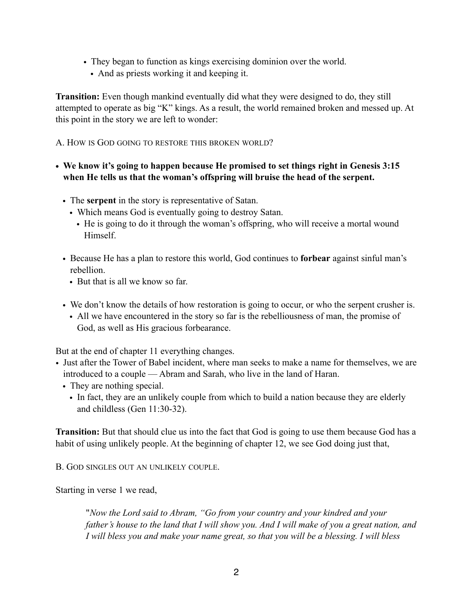- They began to function as kings exercising dominion over the world.
	- And as priests working it and keeping it.

**Transition:** Even though mankind eventually did what they were designed to do, they still attempted to operate as big "K" kings. As a result, the world remained broken and messed up. At this point in the story we are left to wonder:

A. HOW IS GOD GOING TO RESTORE THIS BROKEN WORLD?

- **• We know it's going to happen because He promised to set things right in Genesis 3:15 when He tells us that the woman's offspring will bruise the head of the serpent.** 
	- The **serpent** in the story is representative of Satan.
		- Which means God is eventually going to destroy Satan.
			- He is going to do it through the woman's offspring, who will receive a mortal wound **Himself**
	- Because He has a plan to restore this world, God continues to **forbear** against sinful man's rebellion.
		- But that is all we know so far.
	- We don't know the details of how restoration is going to occur, or who the serpent crusher is.
	- All we have encountered in the story so far is the rebelliousness of man, the promise of God, as well as His gracious forbearance.

But at the end of chapter 11 everything changes.

- Just after the Tower of Babel incident, where man seeks to make a name for themselves, we are introduced to a couple — Abram and Sarah, who live in the land of Haran.
	- They are nothing special.
		- In fact, they are an unlikely couple from which to build a nation because they are elderly and childless (Gen 11:30-32).

**Transition:** But that should clue us into the fact that God is going to use them because God has a habit of using unlikely people. At the beginning of chapter 12, we see God doing just that,

B. GOD SINGLES OUT AN UNLIKELY COUPLE.

Starting in verse 1 we read,

"*Now the Lord said to Abram, "Go from your country and your kindred and your father's house to the land that I will show you. And I will make of you a great nation, and I will bless you and make your name great, so that you will be a blessing. I will bless*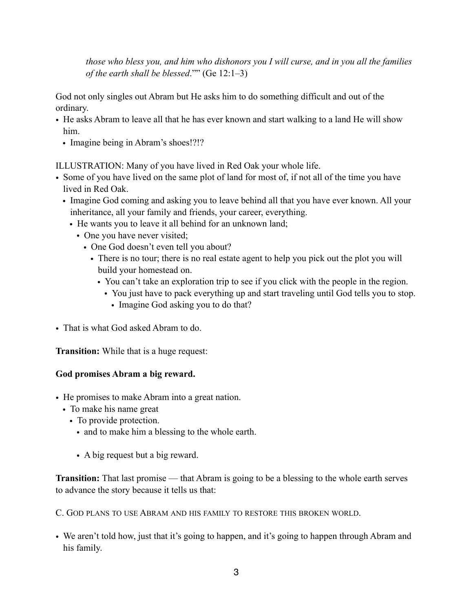*those who bless you, and him who dishonors you I will curse, and in you all the families of the earth shall be blessed*."" (Ge 12:1–3)

God not only singles out Abram but He asks him to do something difficult and out of the ordinary.

- He asks Abram to leave all that he has ever known and start walking to a land He will show him.
	- Imagine being in Abram's shoes!?!?

ILLUSTRATION: Many of you have lived in Red Oak your whole life.

- Some of you have lived on the same plot of land for most of, if not all of the time you have lived in Red Oak.
	- Imagine God coming and asking you to leave behind all that you have ever known. All your inheritance, all your family and friends, your career, everything.
		- He wants you to leave it all behind for an unknown land;
			- One you have never visited;
				- One God doesn't even tell you about?
					- There is no tour; there is no real estate agent to help you pick out the plot you will build your homestead on.
						- You can't take an exploration trip to see if you click with the people in the region.
							- You just have to pack everything up and start traveling until God tells you to stop.
								- Imagine God asking you to do that?
- That is what God asked Abram to do.

**Transition:** While that is a huge request:

### **God promises Abram a big reward.**

- He promises to make Abram into a great nation.
	- To make his name great
		- To provide protection.
			- and to make him a blessing to the whole earth.
			- A big request but a big reward.

**Transition:** That last promise — that Abram is going to be a blessing to the whole earth serves to advance the story because it tells us that:

C. GOD PLANS TO USE ABRAM AND HIS FAMILY TO RESTORE THIS BROKEN WORLD.

• We aren't told how, just that it's going to happen, and it's going to happen through Abram and his family.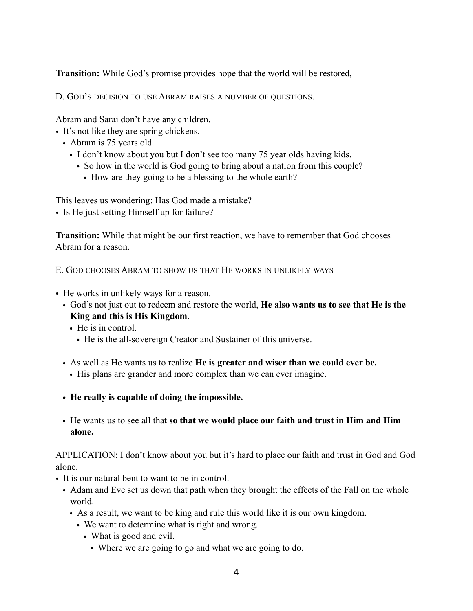**Transition:** While God's promise provides hope that the world will be restored,

D. GOD'S DECISION TO USE ABRAM RAISES A NUMBER OF QUESTIONS.

Abram and Sarai don't have any children.

- It's not like they are spring chickens.
	- Abram is 75 years old.
		- I don't know about you but I don't see too many 75 year olds having kids.
			- So how in the world is God going to bring about a nation from this couple?
				- How are they going to be a blessing to the whole earth?

This leaves us wondering: Has God made a mistake?

• Is He just setting Himself up for failure?

**Transition:** While that might be our first reaction, we have to remember that God chooses Abram for a reason.

E. GOD CHOOSES ABRAM TO SHOW US THAT HE WORKS IN UNLIKELY WAYS

- He works in unlikely ways for a reason.
	- God's not just out to redeem and restore the world, **He also wants us to see that He is the King and this is His Kingdom**.
		- He is in control.
			- He is the all-sovereign Creator and Sustainer of this universe.
	- As well as He wants us to realize **He is greater and wiser than we could ever be.** 
		- His plans are grander and more complex than we can ever imagine.
	- **• He really is capable of doing the impossible.**
	- He wants us to see all that **so that we would place our faith and trust in Him and Him alone.**

APPLICATION: I don't know about you but it's hard to place our faith and trust in God and God alone.

- It is our natural bent to want to be in control.
	- Adam and Eve set us down that path when they brought the effects of the Fall on the whole world.
		- As a result, we want to be king and rule this world like it is our own kingdom.
			- We want to determine what is right and wrong.
				- What is good and evil.
					- Where we are going to go and what we are going to do.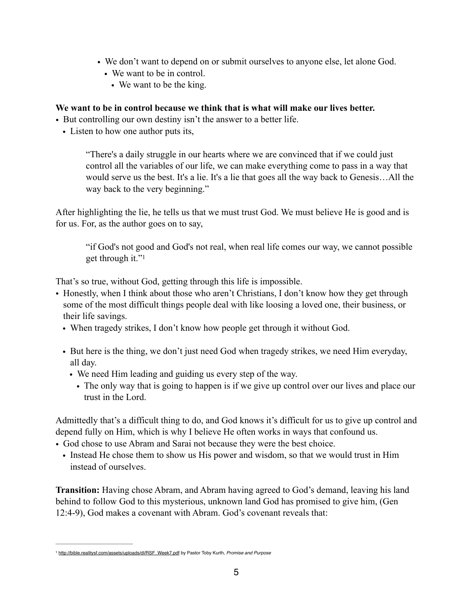- We don't want to depend on or submit ourselves to anyone else, let alone God.
	- We want to be in control.
		- We want to be the king.

### **We want to be in control because we think that is what will make our lives better.**

- But controlling our own destiny isn't the answer to a better life.
	- Listen to how one author puts its,

"There's a daily struggle in our hearts where we are convinced that if we could just control all the variables of our life, we can make everything come to pass in a way that would serve us the best. It's a lie. It's a lie that goes all the way back to Genesis…All the way back to the very beginning."

After highlighting the lie, he tells us that we must trust God. We must believe He is good and is for us. For, as the author goes on to say,

<span id="page-4-1"></span>"if God's not good and God's not real, when real life comes our way, we cannot possible get through it.["1](#page-4-0)

That's so true, without God, getting through this life is impossible.

- Honestly, when I think about those who aren't Christians, I don't know how they get through some of the most difficult things people deal with like loosing a loved one, their business, or their life savings.
	- When tragedy strikes, I don't know how people get through it without God.
	- But here is the thing, we don't just need God when tragedy strikes, we need Him everyday, all day.
		- We need Him leading and guiding us every step of the way.
			- The only way that is going to happen is if we give up control over our lives and place our trust in the Lord.

Admittedly that's a difficult thing to do, and God knows it's difficult for us to give up control and depend fully on Him, which is why I believe He often works in ways that confound us.

- God chose to use Abram and Sarai not because they were the best choice.
	- Instead He chose them to show us His power and wisdom, so that we would trust in Him instead of ourselves.

**Transition:** Having chose Abram, and Abram having agreed to God's demand, leaving his land behind to follow God to this mysterious, unknown land God has promised to give him, (Gen 12:4-9), God makes a covenant with Abram. God's covenant reveals that:

<span id="page-4-0"></span>[<sup>1</sup>](#page-4-1) [http://bible.realitysf.com/assets/uploads/dl/RSF\\_Week7.pdf](http://bible.realitysf.com/assets/uploads/dl/RSF_Week7.pdf) by Pastor Toby Kurth, *Promise and Purpose*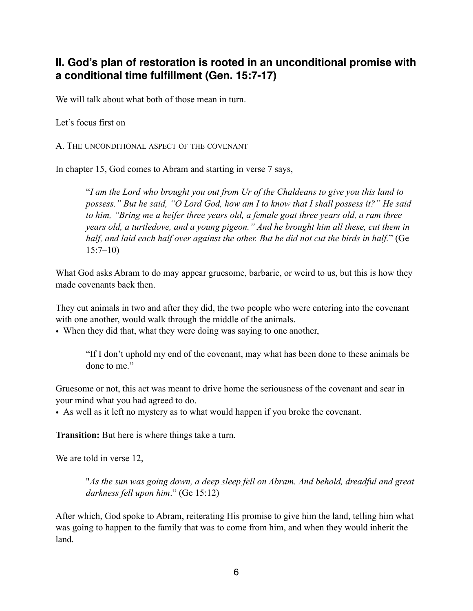## **II. God's plan of restoration is rooted in an unconditional promise with a conditional time fulfillment (Gen. 15:7-17)**

We will talk about what both of those mean in turn.

Let's focus first on

A. THE UNCONDITIONAL ASPECT OF THE COVENANT

In chapter 15, God comes to Abram and starting in verse 7 says,

"*I am the Lord who brought you out from Ur of the Chaldeans to give you this land to possess." But he said, "O Lord God, how am I to know that I shall possess it?" He said to him, "Bring me a heifer three years old, a female goat three years old, a ram three years old, a turtledove, and a young pigeon." And he brought him all these, cut them in half, and laid each half over against the other. But he did not cut the birds in half.*" (Ge 15:7–10)

What God asks Abram to do may appear gruesome, barbaric, or weird to us, but this is how they made covenants back then.

They cut animals in two and after they did, the two people who were entering into the covenant with one another, would walk through the middle of the animals.

• When they did that, what they were doing was saying to one another,

"If I don't uphold my end of the covenant, may what has been done to these animals be done to me"

Gruesome or not, this act was meant to drive home the seriousness of the covenant and sear in your mind what you had agreed to do.

• As well as it left no mystery as to what would happen if you broke the covenant.

**Transition:** But here is where things take a turn.

We are told in verse 12,

"*As the sun was going down, a deep sleep fell on Abram. And behold, dreadful and great darkness fell upon him*." (Ge 15:12)

After which, God spoke to Abram, reiterating His promise to give him the land, telling him what was going to happen to the family that was to come from him, and when they would inherit the land.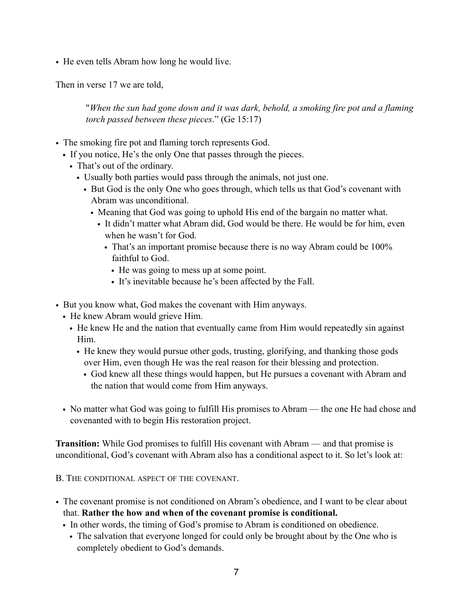• He even tells Abram how long he would live.

Then in verse 17 we are told,

"*When the sun had gone down and it was dark, behold, a smoking fire pot and a flaming torch passed between these pieces*." (Ge 15:17)

- The smoking fire pot and flaming torch represents God.
	- If you notice, He's the only One that passes through the pieces.
		- That's out of the ordinary.
			- Usually both parties would pass through the animals, not just one.
				- But God is the only One who goes through, which tells us that God's covenant with Abram was unconditional.
					- Meaning that God was going to uphold His end of the bargain no matter what.
						- It didn't matter what Abram did, God would be there. He would be for him, even when he wasn't for God.
							- That's an important promise because there is no way Abram could be 100% faithful to God.
								- He was going to mess up at some point.
							- It's inevitable because he's been affected by the Fall.
- But you know what, God makes the covenant with Him anyways.
	- He knew Abram would grieve Him.
		- He knew He and the nation that eventually came from Him would repeatedly sin against Him.
			- He knew they would pursue other gods, trusting, glorifying, and thanking those gods over Him, even though He was the real reason for their blessing and protection.
				- God knew all these things would happen, but He pursues a covenant with Abram and the nation that would come from Him anyways.
	- No matter what God was going to fulfill His promises to Abram the one He had chose and covenanted with to begin His restoration project.

**Transition:** While God promises to fulfill His covenant with Abram — and that promise is unconditional, God's covenant with Abram also has a conditional aspect to it. So let's look at:

B. THE CONDITIONAL ASPECT OF THE COVENANT.

- The covenant promise is not conditioned on Abram's obedience, and I want to be clear about that. **Rather the how and when of the covenant promise is conditional.** 
	- In other words, the timing of God's promise to Abram is conditioned on obedience.
		- The salvation that everyone longed for could only be brought about by the One who is completely obedient to God's demands.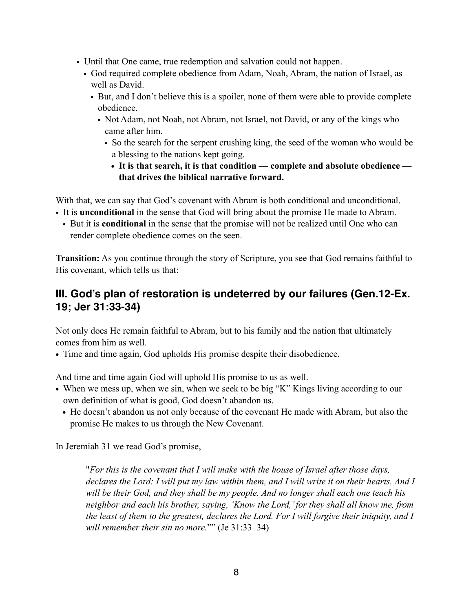- Until that One came, true redemption and salvation could not happen.
	- God required complete obedience from Adam, Noah, Abram, the nation of Israel, as well as David.
		- But, and I don't believe this is a spoiler, none of them were able to provide complete obedience.
			- Not Adam, not Noah, not Abram, not Israel, not David, or any of the kings who came after him.
				- So the search for the serpent crushing king, the seed of the woman who would be a blessing to the nations kept going.
					- **• It is that search, it is that condition complete and absolute obedience that drives the biblical narrative forward.**

With that, we can say that God's covenant with Abram is both conditional and unconditional.

- It is **unconditional** in the sense that God will bring about the promise He made to Abram.
	- But it is **conditional** in the sense that the promise will not be realized until One who can render complete obedience comes on the seen.

**Transition:** As you continue through the story of Scripture, you see that God remains faithful to His covenant, which tells us that:

## **III. God's plan of restoration is undeterred by our failures (Gen.12-Ex. 19; Jer 31:33-34)**

Not only does He remain faithful to Abram, but to his family and the nation that ultimately comes from him as well.

**•** Time and time again, God upholds His promise despite their disobedience.

And time and time again God will uphold His promise to us as well.

- When we mess up, when we sin, when we seek to be big "K" Kings living according to our own definition of what is good, God doesn't abandon us.
	- **•** He doesn't abandon us not only because of the covenant He made with Abram, but also the promise He makes to us through the New Covenant.

In Jeremiah 31 we read God's promise,

"*For this is the covenant that I will make with the house of Israel after those days, declares the Lord: I will put my law within them, and I will write it on their hearts. And I will be their God, and they shall be my people. And no longer shall each one teach his neighbor and each his brother, saying, 'Know the Lord,' for they shall all know me, from the least of them to the greatest, declares the Lord. For I will forgive their iniquity, and I will remember their sin no more.*"" (Je 31:33–34)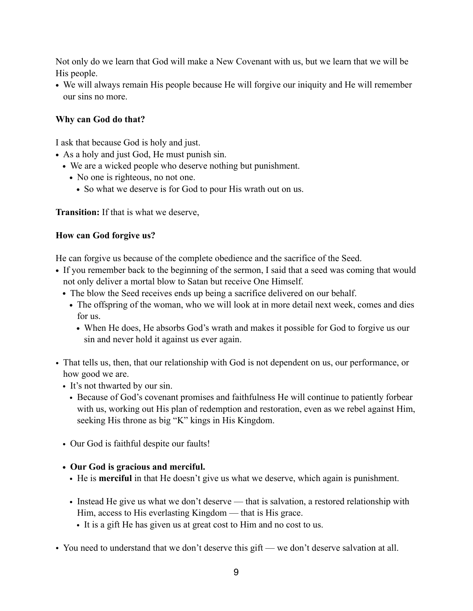Not only do we learn that God will make a New Covenant with us, but we learn that we will be His people.

**•** We will always remain His people because He will forgive our iniquity and He will remember our sins no more.

### **Why can God do that?**

I ask that because God is holy and just.

- **•** As a holy and just God, He must punish sin.
	- **•** We are a wicked people who deserve nothing but punishment.
		- No one is righteous, no not one.
			- **•** So what we deserve is for God to pour His wrath out on us.

**Transition:** If that is what we deserve,

### **How can God forgive us?**

He can forgive us because of the complete obedience and the sacrifice of the Seed.

- **•** If you remember back to the beginning of the sermon, I said that a seed was coming that would not only deliver a mortal blow to Satan but receive One Himself.
	- **•** The blow the Seed receives ends up being a sacrifice delivered on our behalf.
		- The offspring of the woman, who we will look at in more detail next week, comes and dies for us.
			- **•** When He does, He absorbs God's wrath and makes it possible for God to forgive us our sin and never hold it against us ever again.
- That tells us, then, that our relationship with God is not dependent on us, our performance, or how good we are.
	- It's not thwarted by our sin.
		- Because of God's covenant promises and faithfulness He will continue to patiently forbear with us, working out His plan of redemption and restoration, even as we rebel against Him, seeking His throne as big "K" kings in His Kingdom.
	- Our God is faithful despite our faults!

### **• Our God is gracious and merciful.**

- He is **merciful** in that He doesn't give us what we deserve, which again is punishment.
- Instead He give us what we don't deserve that is salvation, a restored relationship with Him, access to His everlasting Kingdom — that is His grace.
	- It is a gift He has given us at great cost to Him and no cost to us.
- You need to understand that we don't deserve this gift we don't deserve salvation at all.